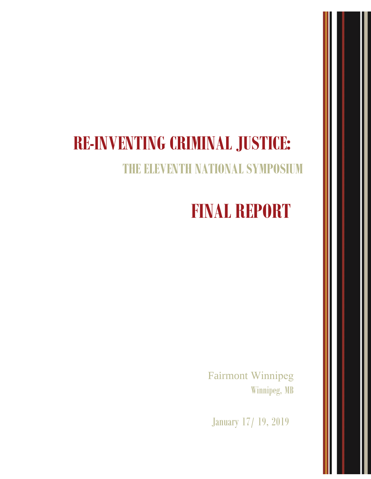# **RE-INVENTING CRIMINAL JUSTICE:**

## **THE ELEVENTH NATIONAL SYMPOSIUM**

# **FINAL REPORT**

Fairmont Winnipeg Winnipeg, MB

January 17/ 19, 2019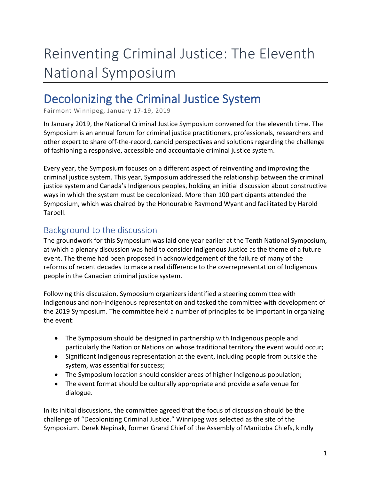# Reinventing Criminal Justice: The Eleventh National Symposium

## Decolonizing the Criminal Justice System

Fairmont Winnipeg, January 17-19, 2019

In January 2019, the National Criminal Justice Symposium convened for the eleventh time. The Symposium is an annual forum for criminal justice practitioners, professionals, researchers and other expert to share off-the-record, candid perspectives and solutions regarding the challenge of fashioning a responsive, accessible and accountable criminal justice system.

Every year, the Symposium focuses on a different aspect of reinventing and improving the criminal justice system. This year, Symposium addressed the relationship between the criminal justice system and Canada's Indigenous peoples, holding an initial discussion about constructive ways in which the system must be decolonized. More than 100 participants attended the Symposium, which was chaired by the Honourable Raymond Wyant and facilitated by Harold Tarbell.

### Background to the discussion

The groundwork for this Symposium was laid one year earlier at the Tenth National Symposium, at which a plenary discussion was held to consider Indigenous Justice as the theme of a future event. The theme had been proposed in acknowledgement of the failure of many of the reforms of recent decades to make a real difference to the overrepresentation of Indigenous people in the Canadian criminal justice system.

Following this discussion, Symposium organizers identified a steering committee with Indigenous and non-Indigenous representation and tasked the committee with development of the 2019 Symposium. The committee held a number of principles to be important in organizing the event:

- The Symposium should be designed in partnership with Indigenous people and particularly the Nation or Nations on whose traditional territory the event would occur;
- Significant Indigenous representation at the event, including people from outside the system, was essential for success;
- The Symposium location should consider areas of higher Indigenous population;
- The event format should be culturally appropriate and provide a safe venue for dialogue.

In its initial discussions, the committee agreed that the focus of discussion should be the challenge of "Decolonizing Criminal Justice." Winnipeg was selected as the site of the Symposium. Derek Nepinak, former Grand Chief of the Assembly of Manitoba Chiefs, kindly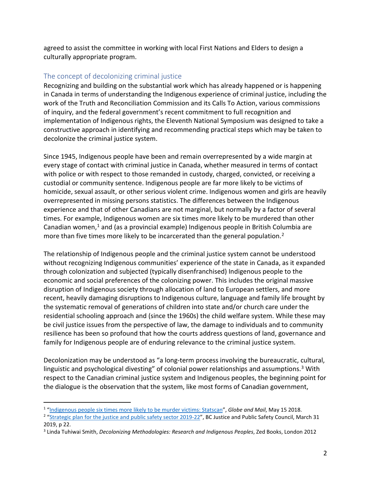agreed to assist the committee in working with local First Nations and Elders to design a culturally appropriate program.

#### The concept of decolonizing criminal justice

Recognizing and building on the substantial work which has already happened or is happening in Canada in terms of understanding the Indigenous experience of criminal justice, including the work of the Truth and Reconciliation Commission and its Calls To Action, various commissions of inquiry, and the federal government's recent commitment to full recognition and implementation of Indigenous rights, the Eleventh National Symposium was designed to take a constructive approach in identifying and recommending practical steps which may be taken to decolonize the criminal justice system.

Since 1945, Indigenous people have been and remain overrepresented by a wide margin at every stage of contact with criminal justice in Canada, whether measured in terms of contact with police or with respect to those remanded in custody, charged, convicted, or receiving a custodial or community sentence. Indigenous people are far more likely to be victims of homicide, sexual assault, or other serious violent crime. Indigenous women and girls are heavily overrepresented in missing persons statistics. The differences between the Indigenous experience and that of other Canadians are not marginal, but normally by a factor of several times. For example, Indigenous women are six times more likely to be murdered than other Canadian women, $1$  and (as a provincial example) Indigenous people in British Columbia are more than five times more likely to be incarcerated than the general population.<sup>[2](#page-2-1)</sup>

The relationship of Indigenous people and the criminal justice system cannot be understood without recognizing Indigenous communities' experience of the state in Canada, as it expanded through colonization and subjected (typically disenfranchised) Indigenous people to the economic and social preferences of the colonizing power. This includes the original massive disruption of Indigenous society through allocation of land to European settlers, and more recent, heavily damaging disruptions to Indigenous culture, language and family life brought by the systematic removal of generations of children into state and/or church care under the residential schooling approach and (since the 1960s) the child welfare system. While these may be civil justice issues from the perspective of law, the damage to individuals and to community resilience has been so profound that how the courts address questions of land, governance and family for Indigenous people are of enduring relevance to the criminal justice system.

Decolonization may be understood as "a long-term process involving the bureaucratic, cultural, linguistic and psychological divesting" of colonial power relationships and assumptions.<sup>3</sup> With respect to the Canadian criminal justice system and Indigenous peoples, the beginning point for the dialogue is the observation that the system, like most forms of Canadian government,

<span id="page-2-0"></span><sup>1</sup> ["Indigenous people six times more likely to be murder victims: Statscan"](https://www.theglobeandmail.com/news/national/aboriginals-six-times-more-likely-to-be-homicide-victims-statscan/article27475106/), *Globe and Mail*, May 15 2018.

<span id="page-2-1"></span><sup>&</sup>lt;sup>2</sup> ["Strategic plan for the justice and public safety sector 2019-22"](https://www.justicebc.ca/app/uploads/sites/11/2019/04/JSP-Plan-2019-22.pdf), BC Justice and Public Safety Council, March 31 2019, p 22.

<span id="page-2-2"></span><sup>3</sup> Linda Tuhiwai Smith, *Decolonizing Methodologies: Research and Indigenous Peoples*, Zed Books, London 2012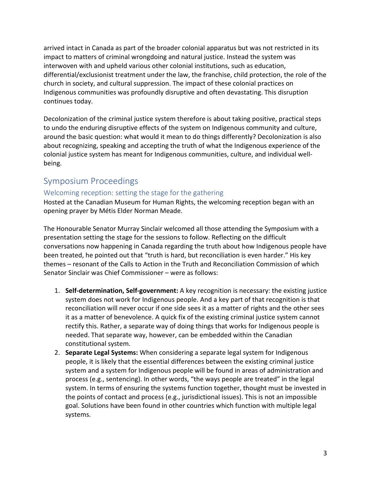arrived intact in Canada as part of the broader colonial apparatus but was not restricted in its impact to matters of criminal wrongdoing and natural justice. Instead the system was interwoven with and upheld various other colonial institutions, such as education, differential/exclusionist treatment under the law, the franchise, child protection, the role of the church in society, and cultural suppression. The impact of these colonial practices on Indigenous communities was profoundly disruptive and often devastating. This disruption continues today.

Decolonization of the criminal justice system therefore is about taking positive, practical steps to undo the enduring disruptive effects of the system on Indigenous community and culture, around the basic question: what would it mean to do things differently? Decolonization is also about recognizing, speaking and accepting the truth of what the Indigenous experience of the colonial justice system has meant for Indigenous communities, culture, and individual wellbeing.

### Symposium Proceedings

#### Welcoming reception: setting the stage for the gathering

Hosted at the Canadian Museum for Human Rights, the welcoming reception began with an opening prayer by Métis Elder Norman Meade.

The Honourable Senator Murray Sinclair welcomed all those attending the Symposium with a presentation setting the stage for the sessions to follow. Reflecting on the difficult conversations now happening in Canada regarding the truth about how Indigenous people have been treated, he pointed out that "truth is hard, but reconciliation is even harder." His key themes – resonant of the Calls to Action in the Truth and Reconciliation Commission of which Senator Sinclair was Chief Commissioner – were as follows:

- 1. **Self-determination, Self-government:** A key recognition is necessary: the existing justice system does not work for Indigenous people. And a key part of that recognition is that reconciliation will never occur if one side sees it as a matter of rights and the other sees it as a matter of benevolence. A quick fix of the existing criminal justice system cannot rectify this. Rather, a separate way of doing things that works for Indigenous people is needed. That separate way, however, can be embedded within the Canadian constitutional system.
- 2. **Separate Legal Systems:** When considering a separate legal system for Indigenous people, it is likely that the essential differences between the existing criminal justice system and a system for Indigenous people will be found in areas of administration and process (e.g., sentencing). In other words, "the ways people are treated" in the legal system. In terms of ensuring the systems function together, thought must be invested in the points of contact and process (e.g., jurisdictional issues). This is not an impossible goal. Solutions have been found in other countries which function with multiple legal systems.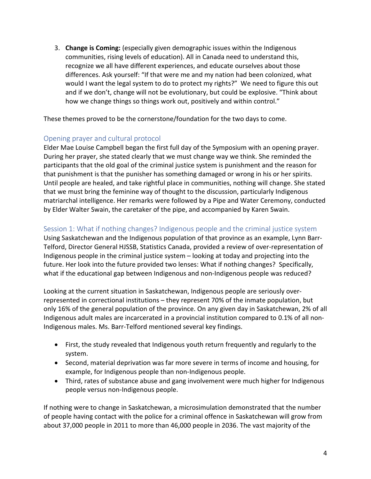3. **Change is Coming:** (especially given demographic issues within the Indigenous communities, rising levels of education). All in Canada need to understand this, recognize we all have different experiences, and educate ourselves about those differences. Ask yourself: "If that were me and my nation had been colonized, what would I want the legal system to do to protect my rights?" We need to figure this out and if we don't, change will not be evolutionary, but could be explosive. "Think about how we change things so things work out, positively and within control."

These themes proved to be the cornerstone/foundation for the two days to come.

#### Opening prayer and cultural protocol

Elder Mae Louise Campbell began the first full day of the Symposium with an opening prayer. During her prayer, she stated clearly that we must change way we think. She reminded the participants that the old goal of the criminal justice system is punishment and the reason for that punishment is that the punisher has something damaged or wrong in his or her spirits. Until people are healed, and take rightful place in communities, nothing will change. She stated that we must bring the feminine way of thought to the discussion, particularly Indigenous matriarchal intelligence. Her remarks were followed by a Pipe and Water Ceremony, conducted by Elder Walter Swain, the caretaker of the pipe, and accompanied by Karen Swain.

#### Session 1: What if nothing changes? Indigenous people and the criminal justice system

Using Saskatchewan and the Indigenous population of that province as an example, Lynn Barr-Telford, Director General HJSSB, Statistics Canada, provided a review of over-representation of Indigenous people in the criminal justice system – looking at today and projecting into the future. Her look into the future provided two lenses: What if nothing changes? Specifically, what if the educational gap between Indigenous and non-Indigenous people was reduced?

Looking at the current situation in Saskatchewan, Indigenous people are seriously overrepresented in correctional institutions – they represent 70% of the inmate population, but only 16% of the general population of the province. On any given day in Saskatchewan, 2% of all Indigenous adult males are incarcerated in a provincial institution compared to 0.1% of all non-Indigenous males. Ms. Barr-Telford mentioned several key findings.

- First, the study revealed that Indigenous youth return frequently and regularly to the system.
- Second, material deprivation was far more severe in terms of income and housing, for example, for Indigenous people than non-Indigenous people.
- Third, rates of substance abuse and gang involvement were much higher for Indigenous people versus non-Indigenous people.

If nothing were to change in Saskatchewan, a microsimulation demonstrated that the number of people having contact with the police for a criminal offence in Saskatchewan will grow from about 37,000 people in 2011 to more than 46,000 people in 2036. The vast majority of the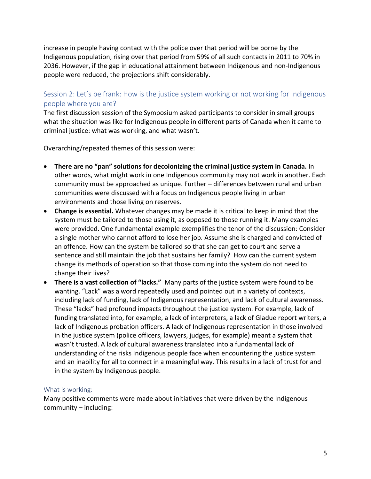increase in people having contact with the police over that period will be borne by the Indigenous population, rising over that period from 59% of all such contacts in 2011 to 70% in 2036. However, if the gap in educational attainment between Indigenous and non-Indigenous people were reduced, the projections shift considerably.

#### Session 2: Let's be frank: How is the justice system working or not working for Indigenous people where you are?

The first discussion session of the Symposium asked participants to consider in small groups what the situation was like for Indigenous people in different parts of Canada when it came to criminal justice: what was working, and what wasn't.

Overarching/repeated themes of this session were:

- **There are no "pan" solutions for decolonizing the criminal justice system in Canada.** In other words, what might work in one Indigenous community may not work in another. Each community must be approached as unique. Further – differences between rural and urban communities were discussed with a focus on Indigenous people living in urban environments and those living on reserves.
- **Change is essential.** Whatever changes may be made it is critical to keep in mind that the system must be tailored to those using it, as opposed to those running it. Many examples were provided. One fundamental example exemplifies the tenor of the discussion: Consider a single mother who cannot afford to lose her job. Assume she is charged and convicted of an offence. How can the system be tailored so that she can get to court and serve a sentence and still maintain the job that sustains her family? How can the current system change its methods of operation so that those coming into the system do not need to change their lives?
- **There is a vast collection of "lacks."** Many parts of the justice system were found to be wanting. "Lack" was a word repeatedly used and pointed out in a variety of contexts, including lack of funding, lack of Indigenous representation, and lack of cultural awareness. These "lacks" had profound impacts throughout the justice system. For example, lack of funding translated into, for example, a lack of interpreters, a lack of Gladue report writers, a lack of Indigenous probation officers. A lack of Indigenous representation in those involved in the justice system (police officers, lawyers, judges, for example) meant a system that wasn't trusted. A lack of cultural awareness translated into a fundamental lack of understanding of the risks Indigenous people face when encountering the justice system and an inability for all to connect in a meaningful way. This results in a lack of trust for and in the system by Indigenous people.

#### What is working:

Many positive comments were made about initiatives that were driven by the Indigenous community – including: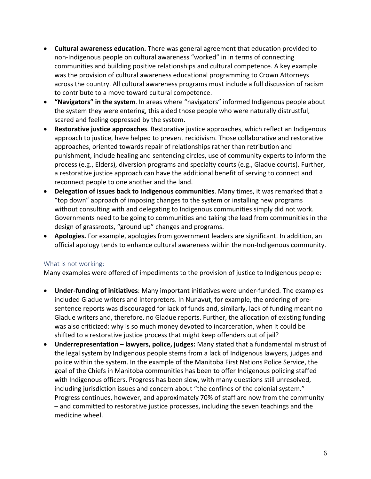- **Cultural awareness education.** There was general agreement that education provided to non-Indigenous people on cultural awareness "worked" in in terms of connecting communities and building positive relationships and cultural competence. A key example was the provision of cultural awareness educational programming to Crown Attorneys across the country. All cultural awareness programs must include a full discussion of racism to contribute to a move toward cultural competence.
- **"Navigators" in the system**. In areas where "navigators" informed Indigenous people about the system they were entering, this aided those people who were naturally distrustful, scared and feeling oppressed by the system.
- **Restorative justice approaches**. Restorative justice approaches, which reflect an Indigenous approach to justice, have helped to prevent recidivism. Those collaborative and restorative approaches, oriented towards repair of relationships rather than retribution and punishment, include healing and sentencing circles, use of community experts to inform the process (e.g., Elders), diversion programs and specialty courts (e.g., Gladue courts). Further, a restorative justice approach can have the additional benefit of serving to connect and reconnect people to one another and the land.
- **Delegation of issues back to Indigenous communities**. Many times, it was remarked that a "top down" approach of imposing changes to the system or installing new programs without consulting with and delegating to Indigenous communities simply did not work. Governments need to be going to communities and taking the lead from communities in the design of grassroots, "ground up" changes and programs.
- **Apologies.** For example, apologies from government leaders are significant. In addition, an official apology tends to enhance cultural awareness within the non-Indigenous community.

#### What is not working:

Many examples were offered of impediments to the provision of justice to Indigenous people:

- **Under-funding of initiatives**: Many important initiatives were under-funded. The examples included Gladue writers and interpreters. In Nunavut, for example, the ordering of presentence reports was discouraged for lack of funds and, similarly, lack of funding meant no Gladue writers and, therefore, no Gladue reports. Further, the allocation of existing funding was also criticized: why is so much money devoted to incarceration, when it could be shifted to a restorative justice process that might keep offenders out of jail?
- **Underrepresentation – lawyers, police, judges:** Many stated that a fundamental mistrust of the legal system by Indigenous people stems from a lack of Indigenous lawyers, judges and police within the system. In the example of the Manitoba First Nations Police Service, the goal of the Chiefs in Manitoba communities has been to offer Indigenous policing staffed with Indigenous officers. Progress has been slow, with many questions still unresolved, including jurisdiction issues and concern about "the confines of the colonial system." Progress continues, however, and approximately 70% of staff are now from the community – and committed to restorative justice processes, including the seven teachings and the medicine wheel.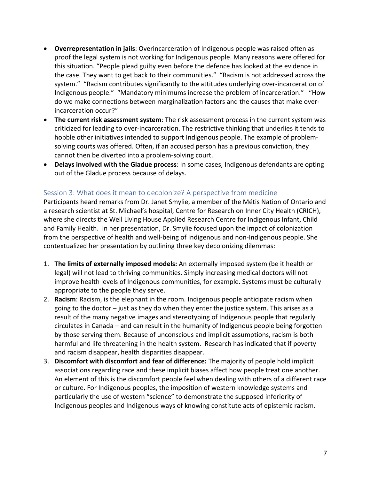- **Overrepresentation in jails**: Overincarceration of Indigenous people was raised often as proof the legal system is not working for Indigenous people. Many reasons were offered for this situation. "People plead guilty even before the defence has looked at the evidence in the case. They want to get back to their communities." "Racism is not addressed across the system." "Racism contributes significantly to the attitudes underlying over-incarceration of Indigenous people." "Mandatory minimums increase the problem of incarceration." "How do we make connections between marginalization factors and the causes that make overincarceration occur?"
- **The current risk assessment system**: The risk assessment process in the current system was criticized for leading to over-incarceration. The restrictive thinking that underlies it tends to hobble other initiatives intended to support Indigenous people. The example of problemsolving courts was offered. Often, if an accused person has a previous conviction, they cannot then be diverted into a problem-solving court.
- **Delays involved with the Gladue process**: In some cases, Indigenous defendants are opting out of the Gladue process because of delays.

#### Session 3: What does it mean to decolonize? A perspective from medicine

Participants heard remarks from Dr. Janet Smylie, a member of the Métis Nation of Ontario and a research scientist at St. Michael's hospital, Centre for Research on Inner City Health (CRICH), where she directs the Well Living House Applied Research Centre for Indigenous Infant, Child and Family Health. In her presentation, Dr. Smylie focused upon the impact of colonization from the perspective of health and well-being of Indigenous and non-Indigenous people. She contextualized her presentation by outlining three key decolonizing dilemmas:

- 1. **The limits of externally imposed models:** An externally imposed system (be it health or legal) will not lead to thriving communities. Simply increasing medical doctors will not improve health levels of Indigenous communities, for example. Systems must be culturally appropriate to the people they serve.
- 2. **Racism**: Racism, is the elephant in the room. Indigenous people anticipate racism when going to the doctor – just as they do when they enter the justice system. This arises as a result of the many negative images and stereotyping of Indigenous people that regularly circulates in Canada – and can result in the humanity of Indigenous people being forgotten by those serving them. Because of unconscious and implicit assumptions, racism is both harmful and life threatening in the health system. Research has indicated that if poverty and racism disappear, health disparities disappear.
- 3. **Discomfort with discomfort and fear of difference:** The majority of people hold implicit associations regarding race and these implicit biases affect how people treat one another. An element of this is the discomfort people feel when dealing with others of a different race or culture. For Indigenous peoples, the imposition of western knowledge systems and particularly the use of western "science" to demonstrate the supposed inferiority of Indigenous peoples and Indigenous ways of knowing constitute acts of epistemic racism.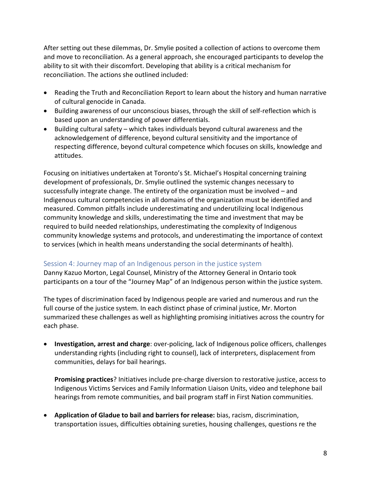After setting out these dilemmas, Dr. Smylie posited a collection of actions to overcome them and move to reconciliation. As a general approach, she encouraged participants to develop the ability to sit with their discomfort. Developing that ability is a critical mechanism for reconciliation. The actions she outlined included:

- Reading the Truth and Reconciliation Report to learn about the history and human narrative of cultural genocide in Canada.
- Building awareness of our unconscious biases, through the skill of self-reflection which is based upon an understanding of power differentials.
- Building cultural safety which takes individuals beyond cultural awareness and the acknowledgement of difference, beyond cultural sensitivity and the importance of respecting difference, beyond cultural competence which focuses on skills, knowledge and attitudes.

Focusing on initiatives undertaken at Toronto's St. Michael's Hospital concerning training development of professionals, Dr. Smylie outlined the systemic changes necessary to successfully integrate change. The entirety of the organization must be involved – and Indigenous cultural competencies in all domains of the organization must be identified and measured. Common pitfalls include underestimating and underutilizing local Indigenous community knowledge and skills, underestimating the time and investment that may be required to build needed relationships, underestimating the complexity of Indigenous community knowledge systems and protocols, and underestimating the importance of context to services (which in health means understanding the social determinants of health).

#### Session 4: Journey map of an Indigenous person in the justice system

Danny Kazuo Morton, Legal Counsel, Ministry of the Attorney General in Ontario took participants on a tour of the "Journey Map" of an Indigenous person within the justice system.

The types of discrimination faced by Indigenous people are varied and numerous and run the full course of the justice system. In each distinct phase of criminal justice, Mr. Morton summarized these challenges as well as highlighting promising initiatives across the country for each phase.

• **Investigation, arrest and charge**: over-policing, lack of Indigenous police officers, challenges understanding rights (including right to counsel), lack of interpreters, displacement from communities, delays for bail hearings.

**Promising practices**? Initiatives include pre-charge diversion to restorative justice, access to Indigenous Victims Services and Family Information Liaison Units, video and telephone bail hearings from remote communities, and bail program staff in First Nation communities.

• **Application of Gladue to bail and barriers for release:** bias, racism, discrimination, transportation issues, difficulties obtaining sureties, housing challenges, questions re the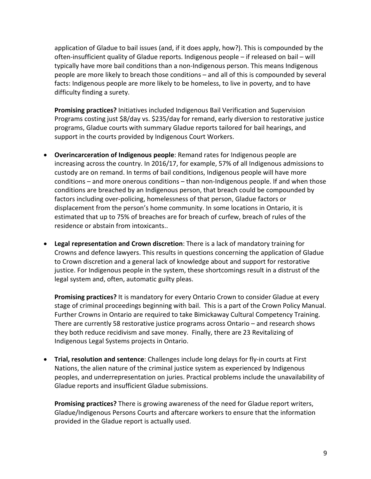application of Gladue to bail issues (and, if it does apply, how?). This is compounded by the often-insufficient quality of Gladue reports. Indigenous people – if released on bail – will typically have more bail conditions than a non-Indigenous person. This means Indigenous people are more likely to breach those conditions – and all of this is compounded by several facts: Indigenous people are more likely to be homeless, to live in poverty, and to have difficulty finding a surety.

**Promising practices?** Initiatives included Indigenous Bail Verification and Supervision Programs costing just \$8/day vs. \$235/day for remand, early diversion to restorative justice programs, Gladue courts with summary Gladue reports tailored for bail hearings, and support in the courts provided by Indigenous Court Workers.

- **Overincarceration of Indigenous people**: Remand rates for Indigenous people are increasing across the country. In 2016/17, for example, 57% of all Indigenous admissions to custody are on remand. In terms of bail conditions, Indigenous people will have more conditions – and more onerous conditions – than non-Indigenous people. If and when those conditions are breached by an Indigenous person, that breach could be compounded by factors including over-policing, homelessness of that person, Gladue factors or displacement from the person's home community. In some locations in Ontario, it is estimated that up to 75% of breaches are for breach of curfew, breach of rules of the residence or abstain from intoxicants..
- **Legal representation and Crown discretion**: There is a lack of mandatory training for Crowns and defence lawyers. This results in questions concerning the application of Gladue to Crown discretion and a general lack of knowledge about and support for restorative justice. For Indigenous people in the system, these shortcomings result in a distrust of the legal system and, often, automatic guilty pleas.

**Promising practices?** It is mandatory for every Ontario Crown to consider Gladue at every stage of criminal proceedings beginning with bail. This is a part of the Crown Policy Manual. Further Crowns in Ontario are required to take Bimickaway Cultural Competency Training. There are currently 58 restorative justice programs across Ontario – and research shows they both reduce recidivism and save money. Finally, there are 23 Revitalizing of Indigenous Legal Systems projects in Ontario.

• **Trial, resolution and sentence**: Challenges include long delays for fly-in courts at First Nations, the alien nature of the criminal justice system as experienced by Indigenous peoples, and underrepresentation on juries. Practical problems include the unavailability of Gladue reports and insufficient Gladue submissions.

**Promising practices?** There is growing awareness of the need for Gladue report writers, Gladue/Indigenous Persons Courts and aftercare workers to ensure that the information provided in the Gladue report is actually used.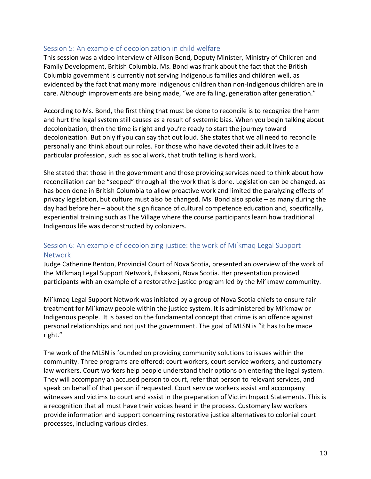#### Session 5: An example of decolonization in child welfare

This session was a video interview of Allison Bond, Deputy Minister, Ministry of Children and Family Development, British Columbia. Ms. Bond was frank about the fact that the British Columbia government is currently not serving Indigenous families and children well, as evidenced by the fact that many more Indigenous children than non-Indigenous children are in care. Although improvements are being made, "we are failing, generation after generation."

According to Ms. Bond, the first thing that must be done to reconcile is to recognize the harm and hurt the legal system still causes as a result of systemic bias. When you begin talking about decolonization, then the time is right and you're ready to start the journey toward decolonization. But only if you can say that out loud. She states that we all need to reconcile personally and think about our roles. For those who have devoted their adult lives to a particular profession, such as social work, that truth telling is hard work.

She stated that those in the government and those providing services need to think about how reconciliation can be "seeped" through all the work that is done. Legislation can be changed, as has been done in British Columbia to allow proactive work and limited the paralyzing effects of privacy legislation, but culture must also be changed. Ms. Bond also spoke – as many during the day had before her – about the significance of cultural competence education and, specifically, experiential training such as The Village where the course participants learn how traditional Indigenous life was deconstructed by colonizers.

#### Session 6: An example of decolonizing justice: the work of Mi'kmaq Legal Support Network

Judge Catherine Benton, Provincial Court of Nova Scotia, presented an overview of the work of the Mi'kmaq Legal Support Network, Eskasoni, Nova Scotia. Her presentation provided participants with an example of a restorative justice program led by the Mi'kmaw community.

Mi'kmaq Legal Support Network was initiated by a group of Nova Scotia chiefs to ensure fair treatment for Mi'kmaw people within the justice system. It is administered by Mi'kmaw or Indigenous people. It is based on the fundamental concept that crime is an offence against personal relationships and not just the government. The goal of MLSN is "it has to be made right."

The work of the MLSN is founded on providing community solutions to issues within the community. Three programs are offered: court workers, court service workers, and customary law workers. Court workers help people understand their options on entering the legal system. They will accompany an accused person to court, refer that person to relevant services, and speak on behalf of that person if requested. Court service workers assist and accompany witnesses and victims to court and assist in the preparation of Victim Impact Statements. This is a recognition that all must have their voices heard in the process. Customary law workers provide information and support concerning restorative justice alternatives to colonial court processes, including various circles.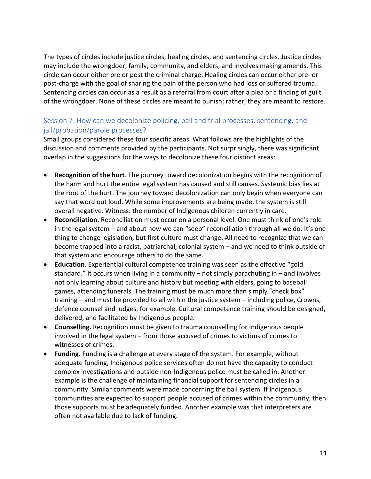The types of circles include justice circles, healing circles, and sentencing circles. Justice circles may include the wrongdoer, family, community, and elders, and involves making amends. This circle can occur either pre or post the criminal charge. Healing circles can occur either pre- or post-charge with the goal of sharing the pain of the person who had loss or suffered trauma. Sentencing circles can occur as a result as a referral from court after a plea or a finding of guilt of the wrongdoer. None of these circles are meant to punish; rather, they are meant to restore.

#### Session 7: How can we decolonize policing, bail and trial processes, sentencing, and jail/probation/parole processes?

Small groups considered these four specific areas. What follows are the highlights of the discussion and comments provided by the participants. Not surprisingly, there was significant overlap in the suggestions for the ways to decolonize these four distinct areas:

- **Recognition of the hurt**. The journey toward decolonization begins with the recognition of the harm and hurt the entire legal system has caused and still causes. Systemic bias lies at the root of the hurt. The journey toward decolonization can only begin when everyone can say that word out loud. While some improvements are being made, the system is still overall negative. Witness: the number of Indigenous children currently in care.
- **Reconciliation.** Reconciliation must occur on a personal level. One must think of one's role in the legal system – and about how we can "seep" reconciliation through all we do. It's one thing to change legislation, but first culture must change. All need to recognize that we can become trapped into a racist, patriarchal, colonial system – and we need to think outside of that system and encourage others to do the same.
- **Education**. Experiential cultural competence training was seen as the effective "gold standard." It occurs when living in a community – not simply parachuting in – and involves not only learning about culture and history but meeting with elders, going to baseball games, attending funerals. The training must be much more than simply "check box" training – and must be provided to all within the justice system – including police, Crowns, defence counsel and judges, for example. Cultural competence training should be designed, delivered, and facilitated by Indigenous people.
- **Counselling.** Recognition must be given to trauma counselling for Indigenous people involved in the legal system – from those accused of crimes to victims of crimes to witnesses of crimes.
- **Funding.** Funding is a challenge at every stage of the system. For example, without adequate funding, Indigenous police services often do not have the capacity to conduct complex investigations and outside non-Indigenous police must be called in. Another example is the challenge of maintaining financial support for sentencing circles in a community. Similar comments were made concerning the bail system. If Indigenous communities are expected to support people accused of crimes within the community, then those supports must be adequately funded. Another example was that interpreters are often not available due to lack of funding.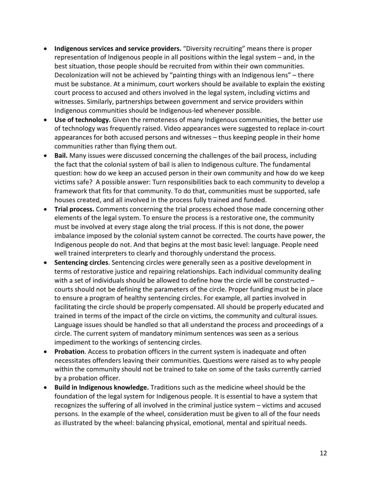- **Indigenous services and service providers.** "Diversity recruiting" means there is proper representation of Indigenous people in all positions within the legal system – and, in the best situation, those people should be recruited from within their own communities. Decolonization will not be achieved by "painting things with an Indigenous lens" – there must be substance. At a minimum, court workers should be available to explain the existing court process to accused and others involved in the legal system, including victims and witnesses. Similarly, partnerships between government and service providers within Indigenous communities should be Indigenous-led whenever possible.
- **Use of technology.** Given the remoteness of many Indigenous communities, the better use of technology was frequently raised. Video appearances were suggested to replace in-court appearances for both accused persons and witnesses – thus keeping people in their home communities rather than flying them out.
- **Bail.** Many issues were discussed concerning the challenges of the bail process, including the fact that the colonial system of bail is alien to Indigenous culture. The fundamental question: how do we keep an accused person in their own community and how do we keep victims safe? A possible answer: Turn responsibilities back to each community to develop a framework that fits for that community. To do that, communities must be supported, safe houses created, and all involved in the process fully trained and funded.
- **Trial process.** Comments concerning the trial process echoed those made concerning other elements of the legal system. To ensure the process is a restorative one, the community must be involved at every stage along the trial process. If this is not done, the power imbalance imposed by the colonial system cannot be corrected. The courts have power, the Indigenous people do not. And that begins at the most basic level: language. People need well trained interpreters to clearly and thoroughly understand the process.
- **Sentencing circles**. Sentencing circles were generally seen as a positive development in terms of restorative justice and repairing relationships. Each individual community dealing with a set of individuals should be allowed to define how the circle will be constructed – courts should not be defining the parameters of the circle. Proper funding must be in place to ensure a program of healthy sentencing circles. For example, all parties involved in facilitating the circle should be properly compensated. All should be properly educated and trained in terms of the impact of the circle on victims, the community and cultural issues. Language issues should be handled so that all understand the process and proceedings of a circle. The current system of mandatory minimum sentences was seen as a serious impediment to the workings of sentencing circles.
- **Probation**. Access to probation officers in the current system is inadequate and often necessitates offenders leaving their communities. Questions were raised as to why people within the community should not be trained to take on some of the tasks currently carried by a probation officer.
- **Build in Indigenous knowledge.** Traditions such as the medicine wheel should be the foundation of the legal system for Indigenous people. It is essential to have a system that recognizes the suffering of all involved in the criminal justice system – victims and accused persons. In the example of the wheel, consideration must be given to all of the four needs as illustrated by the wheel: balancing physical, emotional, mental and spiritual needs.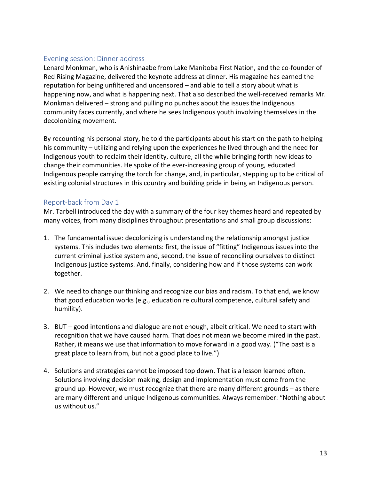#### Evening session: Dinner address

Lenard Monkman, who is Anishinaabe from Lake Manitoba First Nation, and the co-founder of Red Rising Magazine, delivered the keynote address at dinner. His magazine has earned the reputation for being unfiltered and uncensored – and able to tell a story about what is happening now, and what is happening next. That also described the well-received remarks Mr. Monkman delivered – strong and pulling no punches about the issues the Indigenous community faces currently, and where he sees Indigenous youth involving themselves in the decolonizing movement.

By recounting his personal story, he told the participants about his start on the path to helping his community – utilizing and relying upon the experiences he lived through and the need for Indigenous youth to reclaim their identity, culture, all the while bringing forth new ideas to change their communities. He spoke of the ever-increasing group of young, educated Indigenous people carrying the torch for change, and, in particular, stepping up to be critical of existing colonial structures in this country and building pride in being an Indigenous person.

#### Report-back from Day 1

Mr. Tarbell introduced the day with a summary of the four key themes heard and repeated by many voices, from many disciplines throughout presentations and small group discussions:

- 1. The fundamental issue: decolonizing is understanding the relationship amongst justice systems. This includes two elements: first, the issue of "fitting" Indigenous issues into the current criminal justice system and, second, the issue of reconciling ourselves to distinct Indigenous justice systems. And, finally, considering how and if those systems can work together.
- 2. We need to change our thinking and recognize our bias and racism. To that end, we know that good education works (e.g., education re cultural competence, cultural safety and humility).
- 3. BUT good intentions and dialogue are not enough, albeit critical. We need to start with recognition that we have caused harm. That does not mean we become mired in the past. Rather, it means we use that information to move forward in a good way. ("The past is a great place to learn from, but not a good place to live.")
- 4. Solutions and strategies cannot be imposed top down. That is a lesson learned often. Solutions involving decision making, design and implementation must come from the ground up. However, we must recognize that there are many different grounds – as there are many different and unique Indigenous communities. Always remember: "Nothing about us without us."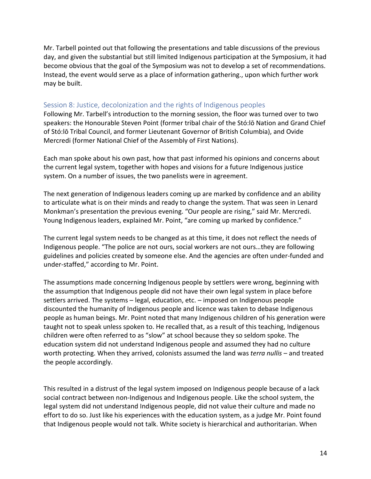Mr. Tarbell pointed out that following the presentations and table discussions of the previous day, and given the substantial but still limited Indigenous participation at the Symposium, it had become obvious that the goal of the Symposium was not to develop a set of recommendations. Instead, the event would serve as a place of information gathering., upon which further work may be built.

#### Session 8: Justice, decolonization and the rights of Indigenous peoples

Following Mr. Tarbell's introduction to the morning session, the floor was turned over to two speakers: the Honourable Steven Point (former tribal chair of the Stó:lō Nation and Grand Chief of Stó:lō Tribal Council, and former Lieutenant Governor of British Columbia), and Ovide Mercredi (former National Chief of the Assembly of First Nations).

Each man spoke about his own past, how that past informed his opinions and concerns about the current legal system, together with hopes and visions for a future Indigenous justice system. On a number of issues, the two panelists were in agreement.

The next generation of Indigenous leaders coming up are marked by confidence and an ability to articulate what is on their minds and ready to change the system. That was seen in Lenard Monkman's presentation the previous evening. "Our people are rising," said Mr. Mercredi. Young Indigenous leaders, explained Mr. Point, "are coming up marked by confidence."

The current legal system needs to be changed as at this time, it does not reflect the needs of Indigenous people. "The police are not ours, social workers are not ours…they are following guidelines and policies created by someone else. And the agencies are often under-funded and under-staffed," according to Mr. Point.

The assumptions made concerning Indigenous people by settlers were wrong, beginning with the assumption that Indigenous people did not have their own legal system in place before settlers arrived. The systems – legal, education, etc. – imposed on Indigenous people discounted the humanity of Indigenous people and licence was taken to debase Indigenous people as human beings. Mr. Point noted that many Indigenous children of his generation were taught not to speak unless spoken to. He recalled that, as a result of this teaching, Indigenous children were often referred to as "slow" at school because they so seldom spoke. The education system did not understand Indigenous people and assumed they had no culture worth protecting. When they arrived, colonists assumed the land was *terra nullis* – and treated the people accordingly.

This resulted in a distrust of the legal system imposed on Indigenous people because of a lack social contract between non-Indigenous and Indigenous people. Like the school system, the legal system did not understand Indigenous people, did not value their culture and made no effort to do so. Just like his experiences with the education system, as a judge Mr. Point found that Indigenous people would not talk. White society is hierarchical and authoritarian. When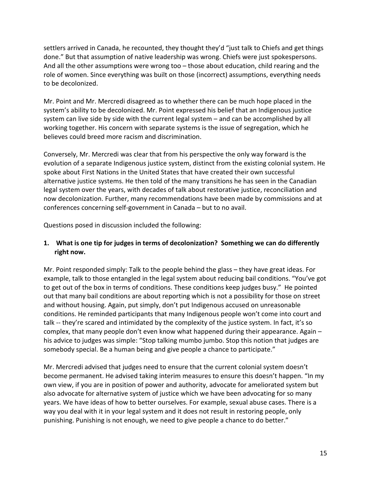settlers arrived in Canada, he recounted, they thought they'd "just talk to Chiefs and get things done." But that assumption of native leadership was wrong. Chiefs were just spokespersons. And all the other assumptions were wrong too – those about education, child rearing and the role of women. Since everything was built on those (incorrect) assumptions, everything needs to be decolonized.

Mr. Point and Mr. Mercredi disagreed as to whether there can be much hope placed in the system's ability to be decolonized. Mr. Point expressed his belief that an Indigenous justice system can live side by side with the current legal system – and can be accomplished by all working together. His concern with separate systems is the issue of segregation, which he believes could breed more racism and discrimination.

Conversely, Mr. Mercredi was clear that from his perspective the only way forward is the evolution of a separate Indigenous justice system, distinct from the existing colonial system. He spoke about First Nations in the United States that have created their own successful alternative justice systems. He then told of the many transitions he has seen in the Canadian legal system over the years, with decades of talk about restorative justice, reconciliation and now decolonization. Further, many recommendations have been made by commissions and at conferences concerning self-government in Canada – but to no avail.

Questions posed in discussion included the following:

#### **1. What is one tip for judges in terms of decolonization? Something we can do differently right now.**

Mr. Point responded simply: Talk to the people behind the glass – they have great ideas. For example, talk to those entangled in the legal system about reducing bail conditions. "You've got to get out of the box in terms of conditions. These conditions keep judges busy." He pointed out that many bail conditions are about reporting which is not a possibility for those on street and without housing. Again, put simply, don't put Indigenous accused on unreasonable conditions. He reminded participants that many Indigenous people won't come into court and talk -- they're scared and intimidated by the complexity of the justice system. In fact, it's so complex, that many people don't even know what happened during their appearance. Again – his advice to judges was simple: "Stop talking mumbo jumbo. Stop this notion that judges are somebody special. Be a human being and give people a chance to participate."

Mr. Mercredi advised that judges need to ensure that the current colonial system doesn't become permanent. He advised taking interim measures to ensure this doesn't happen. "In my own view, if you are in position of power and authority, advocate for ameliorated system but also advocate for alternative system of justice which we have been advocating for so many years. We have ideas of how to better ourselves. For example, sexual abuse cases. There is a way you deal with it in your legal system and it does not result in restoring people, only punishing. Punishing is not enough, we need to give people a chance to do better."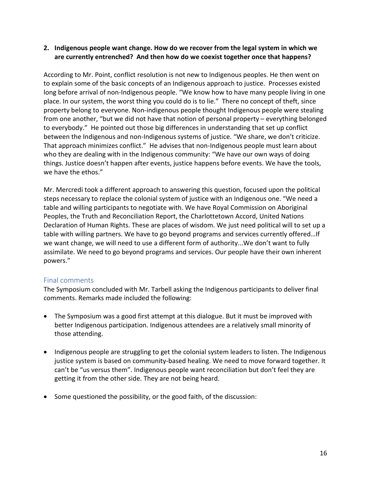#### **2. Indigenous people want change. How do we recover from the legal system in which we are currently entrenched? And then how do we coexist together once that happens?**

According to Mr. Point, conflict resolution is not new to Indigenous peoples. He then went on to explain some of the basic concepts of an Indigenous approach to justice. Processes existed long before arrival of non-Indigenous people. "We know how to have many people living in one place. In our system, the worst thing you could do is to lie." There no concept of theft, since property belong to everyone. Non-indigenous people thought Indigenous people were stealing from one another, "but we did not have that notion of personal property – everything belonged to everybody." He pointed out those big differences in understanding that set up conflict between the Indigenous and non-Indigenous systems of justice. "We share, we don't criticize. That approach minimizes conflict." He advises that non-Indigenous people must learn about who they are dealing with in the Indigenous community: "We have our own ways of doing things. Justice doesn't happen after events, justice happens before events. We have the tools, we have the ethos."

Mr. Mercredi took a different approach to answering this question, focused upon the political steps necessary to replace the colonial system of justice with an Indigenous one. "We need a table and willing participants to negotiate with. We have Royal Commission on Aboriginal Peoples, the Truth and Reconciliation Report, the Charlottetown Accord, United Nations Declaration of Human Rights. These are places of wisdom. We just need political will to set up a table with willing partners. We have to go beyond programs and services currently offered…If we want change, we will need to use a different form of authority...We don't want to fully assimilate. We need to go beyond programs and services. Our people have their own inherent powers."

#### Final comments

The Symposium concluded with Mr. Tarbell asking the Indigenous participants to deliver final comments. Remarks made included the following:

- The Symposium was a good first attempt at this dialogue. But it must be improved with better Indigenous participation. Indigenous attendees are a relatively small minority of those attending.
- Indigenous people are struggling to get the colonial system leaders to listen. The Indigenous justice system is based on community-based healing. We need to move forward together. It can't be "us versus them". Indigenous people want reconciliation but don't feel they are getting it from the other side. They are not being heard.
- Some questioned the possibility, or the good faith, of the discussion: